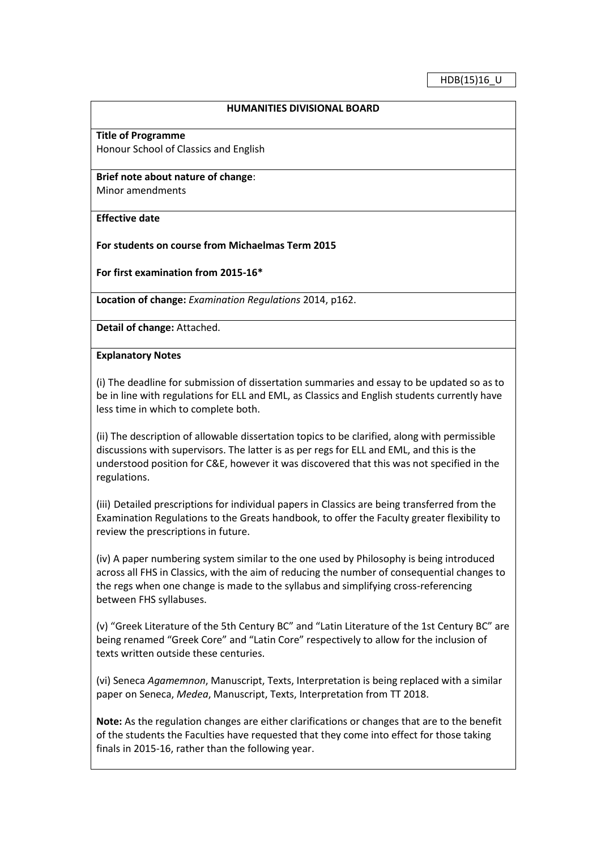$HDB(15)16$  U

# **HUMANITIES DIVISIONAL BOARD**

**Title of Programme** Honour School of Classics and English

**Brief note about nature of change**: Minor amendments

**Effective date**

**For students on course from Michaelmas Term 2015**

**For first examination from 2015-16\***

**Location of change:** *Examination Regulations* 2014, p162.

**Detail of change:** Attached.

**Explanatory Notes**

(i) The deadline for submission of dissertation summaries and essay to be updated so as to be in line with regulations for ELL and EML, as Classics and English students currently have less time in which to complete both.

(ii) The description of allowable dissertation topics to be clarified, along with permissible discussions with supervisors. The latter is as per regs for ELL and EML, and this is the understood position for C&E, however it was discovered that this was not specified in the regulations.

(iii) Detailed prescriptions for individual papers in Classics are being transferred from the Examination Regulations to the Greats handbook, to offer the Faculty greater flexibility to review the prescriptions in future.

(iv) A paper numbering system similar to the one used by Philosophy is being introduced across all FHS in Classics, with the aim of reducing the number of consequential changes to the regs when one change is made to the syllabus and simplifying cross-referencing between FHS syllabuses.

(v) "Greek Literature of the 5th Century BC" and "Latin Literature of the 1st Century BC" are being renamed "Greek Core" and "Latin Core" respectively to allow for the inclusion of texts written outside these centuries.

(vi) Seneca *Agamemnon*, Manuscript, Texts, Interpretation is being replaced with a similar paper on Seneca, *Medea*, Manuscript, Texts, Interpretation from TT 2018.

**Note:** As the regulation changes are either clarifications or changes that are to the benefit of the students the Faculties have requested that they come into effect for those taking finals in 2015-16, rather than the following year.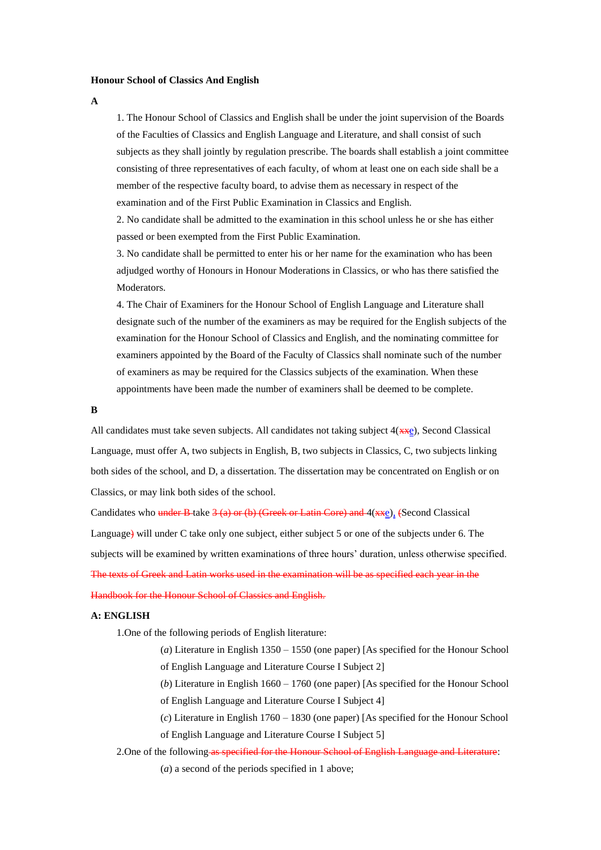#### **Honour School of Classics And English**

**A**

1. The Honour School of Classics and English shall be under the joint supervision of the Boards of the Faculties of Classics and English Language and Literature, and shall consist of such subjects as they shall jointly by regulation prescribe. The boards shall establish a joint committee consisting of three representatives of each faculty, of whom at least one on each side shall be a member of the respective faculty board, to advise them as necessary in respect of the examination and of the First Public Examination in Classics and English.

2. No candidate shall be admitted to the examination in this school unless he or she has either passed or been exempted from the First Public Examination.

3. No candidate shall be permitted to enter his or her name for the examination who has been adjudged worthy of Honours in Honour Moderations in Classics, or who has there satisfied the Moderators.

4. The Chair of Examiners for the Honour School of English Language and Literature shall designate such of the number of the examiners as may be required for the English subjects of the examination for the Honour School of Classics and English, and the nominating committee for examiners appointed by the Board of the Faculty of Classics shall nominate such of the number of examiners as may be required for the Classics subjects of the examination. When these appointments have been made the number of examiners shall be deemed to be complete.

#### **B**

All candidates must take seven subjects. All candidates not taking subject  $4(x_{x\epsilon})$ , Second Classical Language, must offer A, two subjects in English, B, two subjects in Classics, C, two subjects linking both sides of the school, and D, a dissertation. The dissertation may be concentrated on English or on Classics, or may link both sides of the school.

Candidates who under B take  $3$  (a) or (b) (Greek or Latin Core) and  $4(xxe)$ , (Second Classical Language) will under C take only one subject, either subject 5 or one of the subjects under 6. The subjects will be examined by written examinations of three hours' duration, unless otherwise specified. The texts of Greek and Latin works used in the examination will be as specified each year in the

## Handbook for the Honour School of Classics and English.

### **A: ENGLISH**

1.One of the following periods of English literature:

(*a*) Literature in English 1350 – 1550 (one paper) [As specified for the Honour School of English Language and Literature Course I Subject 2]

(*b*) Literature in English 1660 – 1760 (one paper) [As specified for the Honour School of English Language and Literature Course I Subject 4]

(*c*) Literature in English 1760 – 1830 (one paper) [As specified for the Honour School of English Language and Literature Course I Subject 5]

2. One of the following as specified for the Honour School of English Language and Literature:

(*a*) a second of the periods specified in 1 above;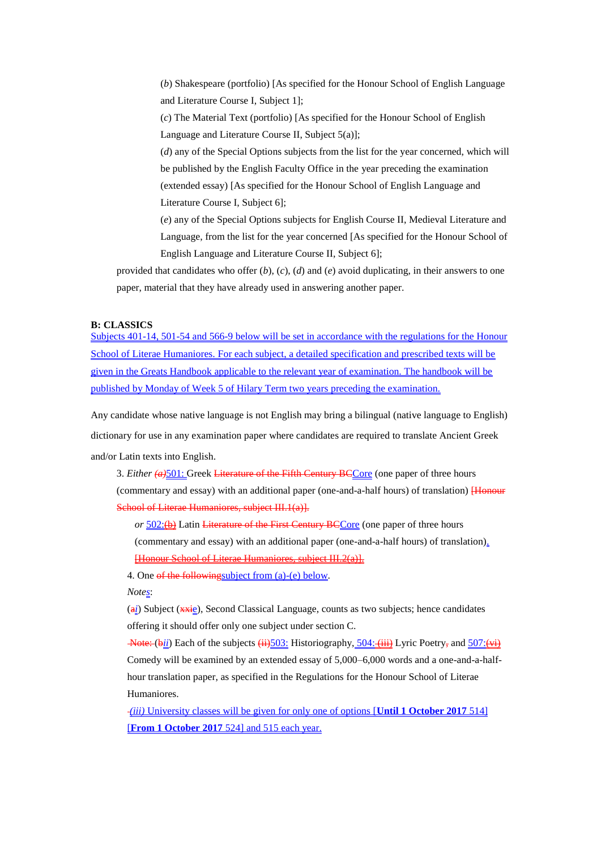(*b*) Shakespeare (portfolio) [As specified for the Honour School of English Language and Literature Course I, Subject 1];

(*c*) The Material Text (portfolio) [As specified for the Honour School of English Language and Literature Course II, Subject 5(a)];

(*d*) any of the Special Options subjects from the list for the year concerned, which will be published by the English Faculty Office in the year preceding the examination (extended essay) [As specified for the Honour School of English Language and Literature Course I, Subject 6];

(*e*) any of the Special Options subjects for English Course II, Medieval Literature and Language, from the list for the year concerned [As specified for the Honour School of English Language and Literature Course II, Subject 6];

provided that candidates who offer (*b*), (*c*), (*d*) and (*e*) avoid duplicating, in their answers to one paper, material that they have already used in answering another paper.

### **B: CLASSICS**

Subjects 401-14, 501-54 and 566-9 below will be set in accordance with the regulations for the Honour School of Literae Humaniores. For each subject, a detailed specification and prescribed texts will be given in the Greats Handbook applicable to the relevant year of examination. The handbook will be published by Monday of Week 5 of Hilary Term two years preceding the examination.

Any candidate whose native language is not English may bring a bilingual (native language to English) dictionary for use in any examination paper where candidates are required to translate Ancient Greek and/or Latin texts into English.

3. *Either (a)*501: Greek Literature of the Fifth Century BCCore (one paper of three hours (commentary and essay) with an additional paper (one-and-a-half hours) of translation) **Honour** School of Literae Humaniores, subject III.1(a)].

*or* 502:(b) Latin Literature of the First Century BCCore (one paper of three hours (commentary and essay) with an additional paper (one-and-a-half hours) of translation). [Honour School of Literae Humaniores, subject III.2(a)].

4. One of the followingsubject from (a)-(e) below.

*Notes*:

(a*i*) Subject (xie), Second Classical Language, counts as two subjects; hence candidates offering it should offer only one subject under section C.

Note: (b*ii*) Each of the subjects (ii) 503: Historiography, 504: (iii) Lyric Poetry, and 507: (vi) Comedy will be examined by an extended essay of 5,000–6,000 words and a one-and-a-halfhour translation paper, as specified in the Regulations for the Honour School of Literae Humaniores.

*(iii)* University classes will be given for only one of options [**Until 1 October 2017** 514] [**From 1 October 2017** 524] and 515 each year.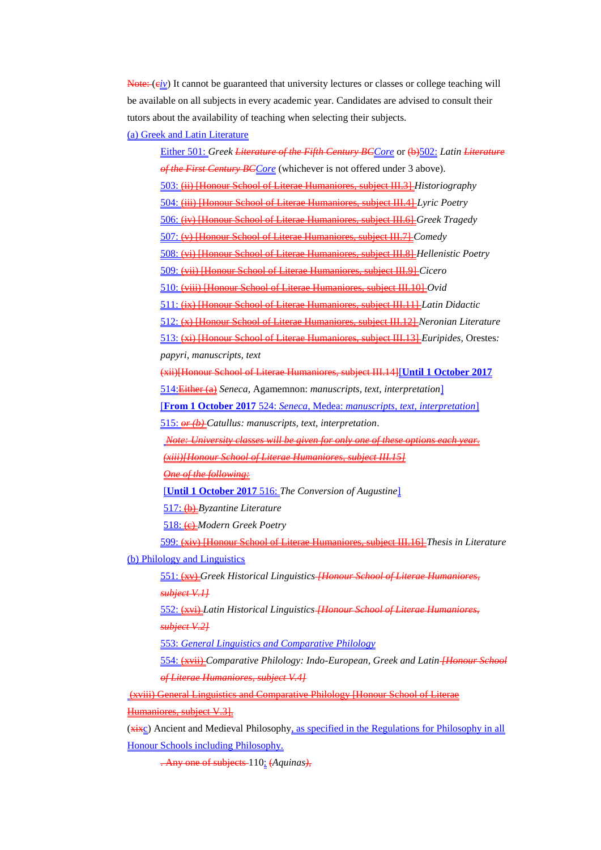Note: (c*iv*) It cannot be guaranteed that university lectures or classes or college teaching will be available on all subjects in every academic year. Candidates are advised to consult their tutors about the availability of teaching when selecting their subjects.

(a) Greek and Latin Literature

Either 501: *Greek Literature of the Fifth Century BCCore* or (b)502: *Latin Literature of the First Century BCCore* (whichever is not offered under 3 above). 503: (ii) [Honour School of Literae Humaniores, subject III.3] *Historiography* 504: (iii) [Honour School of Literae Humaniores, subject III.4] *Lyric Poetry* 506: (iv) [Honour School of Literae Humaniores, subject III.6] *Greek Tragedy* 507: (v) [Honour School of Literae Humaniores, subject III.7] *Comedy* 508: (vi) [Honour School of Literae Humaniores, subject III.8] *Hellenistic Poetry* 509: (vii) [Honour School of Literae Humaniores, subject III.9] *Cicero*  510: (viii) [Honour School of Literae Humaniores, subject III.10] *Ovid* 511: (ix) [Honour School of Literae Humaniores, subject III.11] *Latin Didactic* 512: (x) [Honour School of Literae Humaniores, subject III.12] *Neronian Literature*  513: (xi) [Honour School of Literae Humaniores, subject III.13] *Euripides,* Orestes*: papyri, manuscripts, text* (xii)[Honour School of Literae Humaniores, subject III.14][**Until 1 October 2017** 514:Either (a) *Seneca,* Agamemnon: *manuscripts, text, interpretation*] [**From 1 October 2017** 524: *Seneca,* Medea: *manuscripts, text, interpretation*] 515: *or (b) Catullus: manuscripts, text, interpretation*. *Note: University classes will be given for only one of these options each year. (xiii)[Honour School of Literae Humaniores, subject III.15] One of the following:* [**Until 1 October 2017** 516: *The Conversion of Augustine*] 517: (b) *Byzantine Literature*  518: (c) *Modern Greek Poetry* 599: (xiv) [Honour School of Literae Humaniores, subject III.16] *Thesis in Literature* (b) Philology and Linguistics 551: (xv) *Greek Historical Linguistics [Honour School of Literae Humaniores, subject V.1]* 552: (xvi) *Latin Historical Linguistics [Honour School of Literae Humaniores, subject V.2]* 553: *General Linguistics and Comparative Philology* 554: (xvii) *Comparative Philology: Indo-European, Greek and Latin [Honour School of Literae Humaniores, subject V.4]* (xviii) General Linguistics and Comparative Philology [Honour School of Literae Humaniores, subject V.3]. (xixc) Ancient and Medieval Philosophy, as specified in the Regulations for Philosophy in all

Honour Schools including Philosophy.

. Any one of subjects 110: (*Aquinas),*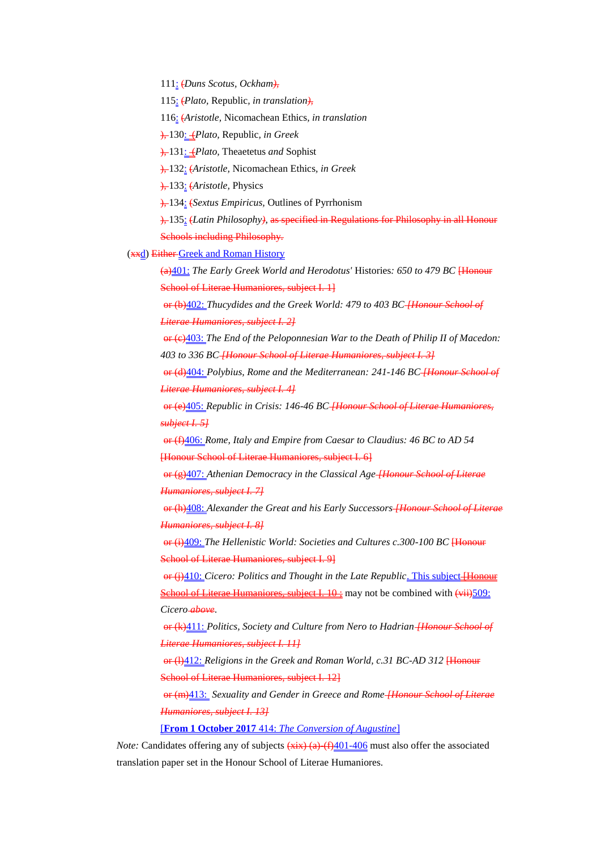111: (*Duns Scotus, Ockham),* 

115: (*Plato,* Republic*, in translation),* 

116: (*Aristotle,* Nicomachean Ethics*, in translation*

), 130: (*Plato,* Republic*, in Greek*

), 131: (*Plato,* Theaetetus *and* Sophist

), 132: (*Aristotle,* Nicomachean Ethics*, in Greek*

), 133: (*Aristotle,* Physics

), 134: (*Sextus Empiricus,* Outlines of Pyrrhonism

), 135: (*Latin Philosophy)*, as specified in Regulations for Philosophy in all Honour Schools including Philosophy.

(xxd) Either Greek and Roman History

(a)401: *The Early Greek World and Herodotus'* Histories*: 650 to 479 BC* [Honour School of Literae Humaniores, subject I. 11

or (b)402: *Thucydides and the Greek World: 479 to 403 BC [Honour School of Literae Humaniores, subject I. 2]*

or (c)403: *The End of the Peloponnesian War to the Death of Philip II of Macedon: 403 to 336 BC [Honour School of Literae Humaniores, subject I. 3]*

or (d)404: *Polybius, Rome and the Mediterranean: 241-146 BC [Honour School of Literae Humaniores, subject I. 4]*

or (e)405: *Republic in Crisis: 146-46 BC [Honour School of Literae Humaniores, subject I. 5]*

or (f)406: *Rome, Italy and Empire from Caesar to Claudius: 46 BC to AD 54* [Honour School of Literae Humaniores, subject I. 6]

or (g)407: *Athenian Democracy in the Classical Age [Honour School of Literae Humaniores, subject I. 7]*

or (h)408: *Alexander the Great and his Early Successors [Honour School of Literae Humaniores, subject I. 8]*

or (i)409: *The Hellenistic World: Societies and Cultures c.300-100 BC* [Honour School of Literae Humaniores, subject I. 9]

or (j)410: *Cicero: Politics and Thought in the Late Republic*. This subject Honour School of Literae Humaniores, subject I.  $10 \div$  may not be combined with  $(vii)509$ : *Cicero above*.

or (k)411: *Politics, Society and Culture from Nero to Hadrian [Honour School of Literae Humaniores, subject I. 11]*

or (1)412: *Religions in the Greek and Roman World, c.31 BC-AD 312* <del>[Honour</del>] School of Literae Humaniores, subject I. 12]

or (m)413: *Sexuality and Gender in Greece and Rome [Honour School of Literae Humaniores, subject I. 13]*

[**From 1 October 2017** 414: *The Conversion of Augustine*]

*Note:* Candidates offering any of subjects  $(xix)$  (a) (f)401-406 must also offer the associated translation paper set in the Honour School of Literae Humaniores.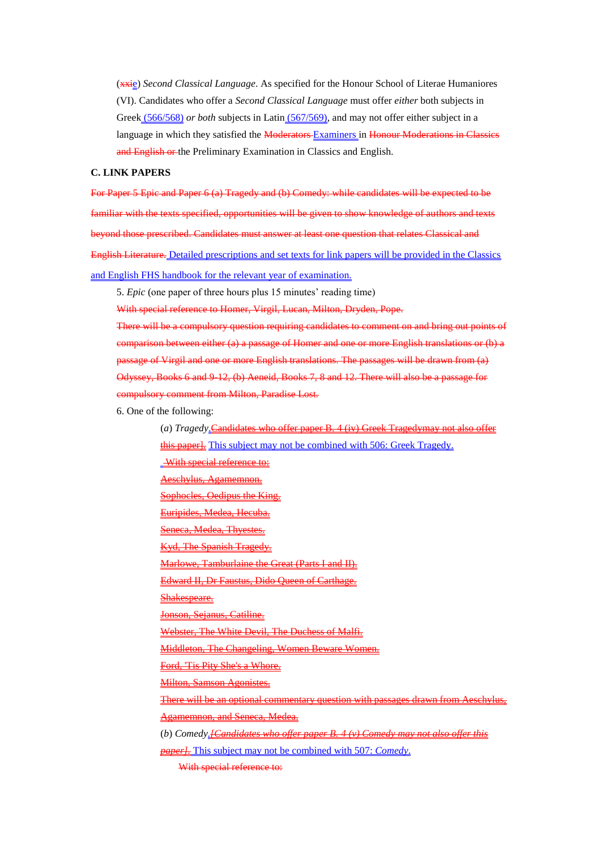(xxie) *Second Classical Language*. As specified for the Honour School of Literae Humaniores (VI). Candidates who offer a *Second Classical Language* must offer *either* both subjects in Greek (566/568) *or both* subjects in Latin (567/569), and may not offer either subject in a language in which they satisfied the Moderators Examiners in Honour Moderations in Classies and English or the Preliminary Examination in Classics and English.

# **C. LINK PAPERS**

For Paper 5 Epic and Paper 6 (a) Tragedy and (b) Comedy: while candidates will be expected to be familiar with the texts specified, opportunities will be given to show knowledge of authors and texts beyond those prescribed. Candidates must answer at least one question that relates Classical and English Literature. Detailed prescriptions and set texts for link papers will be provided in the Classics and English FHS handbook for the relevant year of examination.

5. *Epic* (one paper of three hours plus 15 minutes' reading time)

With special reference to Homer, Virgil, Lucan, Milton, Dryden, Pope.

There will be a compulsory question requiring candidates to comment on and bring out points of comparison between either (a) a passage of Homer and one or more English translations or (b) a passage of Virgil and one or more English translations. The passages will be drawn from (a) Odyssey, Books 6 and 9-12, (b) Aeneid, Books 7, 8 and 12. There will also be a passage for compulsory comment from Milton, Paradise Lost.

6. One of the following:

(*a*) *Tragedy*.Candidates who offer paper B. 4 (iv) Greek Tragedymay not also offer this paper. This subject may not be combined with 506: Greek Tragedy.

With special reference to:

Aeschylus, Agamemnon.

Sophocles, Oedipus the King.

Euripides, Medea, Hecuba.

Seneca, Medea, Thyestes.

Kyd, The Spanish Tragedy.

Marlowe, Tamburlaine the Great (Parts I and II).

Edward II, Dr Faustus, Dido Queen of Carthage.

Shakespeare.

Jonson, Sejanus, Catiline.

Webster, The White Devil, The Duchess of Malfi.

Middleton, The Changeling, Women Beware Women.

Ford, 'Tis Pity She's a Whore.

Milton, Samson Agonistes.

There will be an optional commentary question with passages drawn from Aeschylus, Agamemnon, and Seneca, Medea.

(*b*) *Comedy.[Candidates who offer paper B. 4 (v) Comedy may not also offer this* 

*paper].* This subject may not be combined with 507: *Comedy*.

With special reference to: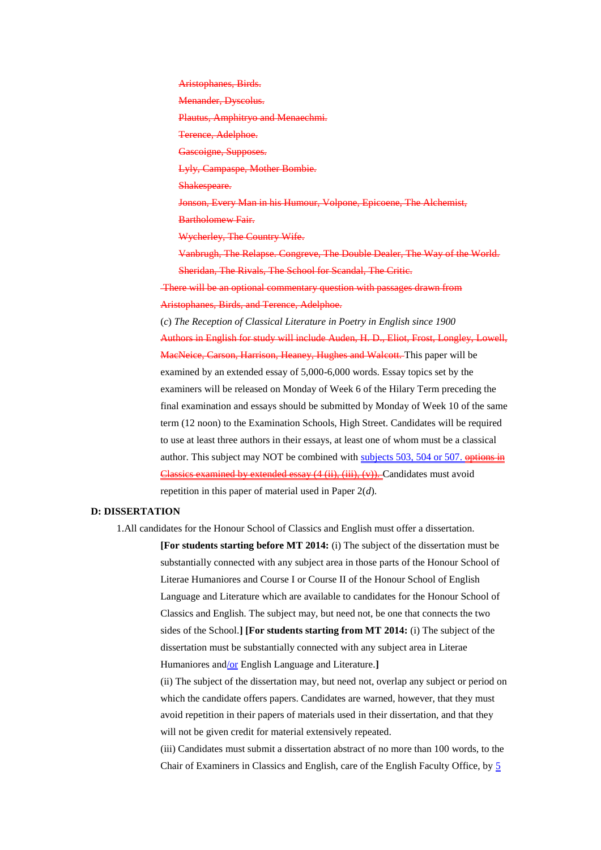Aristophanes, Birds. Menander, Dyscolus. Plautus, Amphitryo and Menaechmi. Terence, Adelphoe. Gascoigne, Supposes. Lyly, Campaspe, Mother Bombie. Shakespeare. Jonson, Every Man in his Humour, Volpone, Epicoene, The Alchemist, Bartholomew Fair. Wycherley, The Country Wife. Vanbrugh, The Relapse. Congreve, The Double Dealer, The Way of the World. Sheridan, The Rivals, The School for Scandal, The Critic. There will be an optional commentary question with passages drawn from Aristophanes, Birds, and Terence, Adelphoe. (*c*) *The Reception of Classical Literature in Poetry in English since 1900* Authors in English for study will include Auden, H. D., Eliot, Frost, Longley, Lowell, MacNeice, Carson, Harrison, Heaney, Hughes and Walcott. This paper will be examined by an extended essay of 5,000-6,000 words. Essay topics set by the examiners will be released on Monday of Week 6 of the Hilary Term preceding the final examination and essays should be submitted by Monday of Week 10 of the same term (12 noon) to the Examination Schools, High Street. Candidates will be required

to use at least three authors in their essays, at least one of whom must be a classical author. This subject may NOT be combined with subjects 503, 504 or 507, options in Classics examined by extended essay  $(4 \text{ (ii)}, \text{ (iii)}, \text{ (v)})$ . Candidates must avoid repetition in this paper of material used in Paper 2(*d*).

### **D: DISSERTATION**

1.All candidates for the Honour School of Classics and English must offer a dissertation. **[For students starting before MT 2014:** (i) The subject of the dissertation must be substantially connected with any subject area in those parts of the Honour School of Literae Humaniores and Course I or Course II of the Honour School of English Language and Literature which are available to candidates for the Honour School of Classics and English. The subject may, but need not, be one that connects the two sides of the School.**] [For students starting from MT 2014:** (i) The subject of the dissertation must be substantially connected with any subject area in Literae Humaniores and/or English Language and Literature.**]**

> (ii) The subject of the dissertation may, but need not, overlap any subject or period on which the candidate offers papers. Candidates are warned, however, that they must avoid repetition in their papers of materials used in their dissertation, and that they will not be given credit for material extensively repeated.

> (iii) Candidates must submit a dissertation abstract of no more than 100 words, to the Chair of Examiners in Classics and English, care of the English Faculty Office, by 5